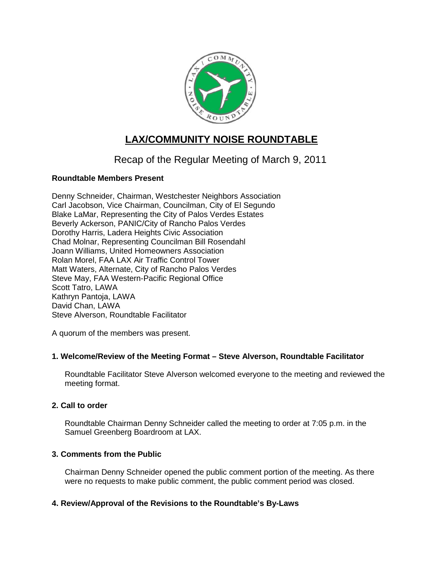

# **LAX/COMMUNITY NOISE ROUNDTABLE**

# Recap of the Regular Meeting of March 9, 2011

# **Roundtable Members Present**

Denny Schneider, Chairman, Westchester Neighbors Association Carl Jacobson, Vice Chairman, Councilman, City of El Segundo Blake LaMar, Representing the City of Palos Verdes Estates Beverly Ackerson, PANIC/City of Rancho Palos Verdes Dorothy Harris, Ladera Heights Civic Association Chad Molnar, Representing Councilman Bill Rosendahl Joann Williams, United Homeowners Association Rolan Morel, FAA LAX Air Traffic Control Tower Matt Waters, Alternate, City of Rancho Palos Verdes Steve May, FAA Western-Pacific Regional Office Scott Tatro, LAWA Kathryn Pantoja, LAWA David Chan, LAWA Steve Alverson, Roundtable Facilitator

A quorum of the members was present.

# **1. Welcome/Review of the Meeting Format – Steve Alverson, Roundtable Facilitator**

Roundtable Facilitator Steve Alverson welcomed everyone to the meeting and reviewed the meeting format.

# **2. Call to order**

Roundtable Chairman Denny Schneider called the meeting to order at 7:05 p.m. in the Samuel Greenberg Boardroom at LAX.

# **3. Comments from the Public**

Chairman Denny Schneider opened the public comment portion of the meeting. As there were no requests to make public comment, the public comment period was closed.

# **4. Review/Approval of the Revisions to the Roundtable's By-Laws**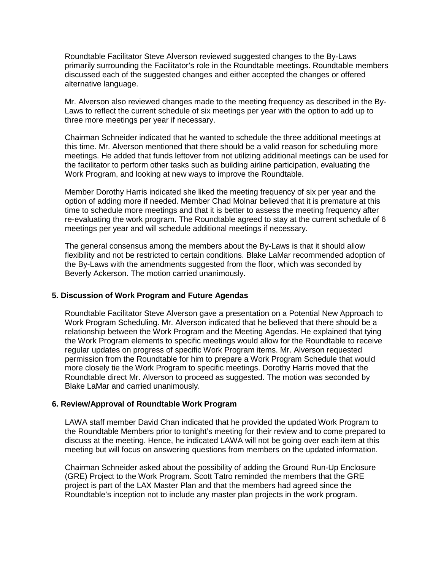Roundtable Facilitator Steve Alverson reviewed suggested changes to the By-Laws primarily surrounding the Facilitator's role in the Roundtable meetings. Roundtable members discussed each of the suggested changes and either accepted the changes or offered alternative language.

Mr. Alverson also reviewed changes made to the meeting frequency as described in the By-Laws to reflect the current schedule of six meetings per year with the option to add up to three more meetings per year if necessary.

Chairman Schneider indicated that he wanted to schedule the three additional meetings at this time. Mr. Alverson mentioned that there should be a valid reason for scheduling more meetings. He added that funds leftover from not utilizing additional meetings can be used for the facilitator to perform other tasks such as building airline participation, evaluating the Work Program, and looking at new ways to improve the Roundtable.

Member Dorothy Harris indicated she liked the meeting frequency of six per year and the option of adding more if needed. Member Chad Molnar believed that it is premature at this time to schedule more meetings and that it is better to assess the meeting frequency after re-evaluating the work program. The Roundtable agreed to stay at the current schedule of 6 meetings per year and will schedule additional meetings if necessary.

The general consensus among the members about the By-Laws is that it should allow flexibility and not be restricted to certain conditions. Blake LaMar recommended adoption of the By-Laws with the amendments suggested from the floor, which was seconded by Beverly Ackerson. The motion carried unanimously.

#### **5. Discussion of Work Program and Future Agendas**

Roundtable Facilitator Steve Alverson gave a presentation on a Potential New Approach to Work Program Scheduling. Mr. Alverson indicated that he believed that there should be a relationship between the Work Program and the Meeting Agendas. He explained that tying the Work Program elements to specific meetings would allow for the Roundtable to receive regular updates on progress of specific Work Program items. Mr. Alverson requested permission from the Roundtable for him to prepare a Work Program Schedule that would more closely tie the Work Program to specific meetings. Dorothy Harris moved that the Roundtable direct Mr. Alverson to proceed as suggested. The motion was seconded by Blake LaMar and carried unanimously.

#### **6. Review/Approval of Roundtable Work Program**

LAWA staff member David Chan indicated that he provided the updated Work Program to the Roundtable Members prior to tonight's meeting for their review and to come prepared to discuss at the meeting. Hence, he indicated LAWA will not be going over each item at this meeting but will focus on answering questions from members on the updated information.

Chairman Schneider asked about the possibility of adding the Ground Run-Up Enclosure (GRE) Project to the Work Program. Scott Tatro reminded the members that the GRE project is part of the LAX Master Plan and that the members had agreed since the Roundtable's inception not to include any master plan projects in the work program.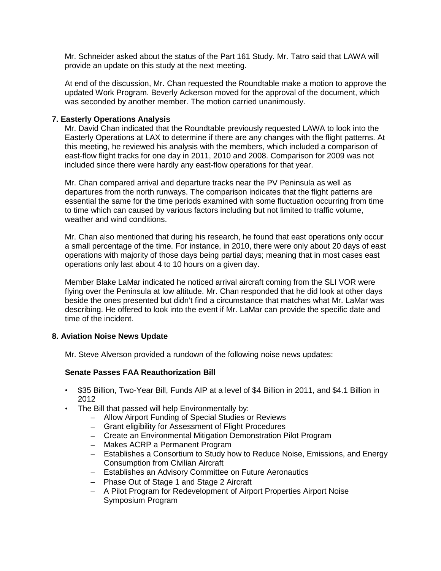Mr. Schneider asked about the status of the Part 161 Study. Mr. Tatro said that LAWA will provide an update on this study at the next meeting.

At end of the discussion, Mr. Chan requested the Roundtable make a motion to approve the updated Work Program. Beverly Ackerson moved for the approval of the document, which was seconded by another member. The motion carried unanimously.

#### **7. Easterly Operations Analysis**

Mr. David Chan indicated that the Roundtable previously requested LAWA to look into the Easterly Operations at LAX to determine if there are any changes with the flight patterns. At this meeting, he reviewed his analysis with the members, which included a comparison of east-flow flight tracks for one day in 2011, 2010 and 2008. Comparison for 2009 was not included since there were hardly any east-flow operations for that year.

Mr. Chan compared arrival and departure tracks near the PV Peninsula as well as departures from the north runways. The comparison indicates that the flight patterns are essential the same for the time periods examined with some fluctuation occurring from time to time which can caused by various factors including but not limited to traffic volume, weather and wind conditions.

Mr. Chan also mentioned that during his research, he found that east operations only occur a small percentage of the time. For instance, in 2010, there were only about 20 days of east operations with majority of those days being partial days; meaning that in most cases east operations only last about 4 to 10 hours on a given day.

Member Blake LaMar indicated he noticed arrival aircraft coming from the SLI VOR were flying over the Peninsula at low altitude. Mr. Chan responded that he did look at other days beside the ones presented but didn't find a circumstance that matches what Mr. LaMar was describing. He offered to look into the event if Mr. LaMar can provide the specific date and time of the incident.

## **8. Aviation Noise News Update**

Mr. Steve Alverson provided a rundown of the following noise news updates:

## **Senate Passes FAA Reauthorization Bill**

- \$35 Billion, Two-Year Bill, Funds AIP at a level of \$4 Billion in 2011, and \$4.1 Billion in 2012
- The Bill that passed will help Environmentally by:
	- Allow Airport Funding of Special Studies or Reviews
	- Grant eligibility for Assessment of Flight Procedures
	- Create an Environmental Mitigation Demonstration Pilot Program
	- Makes ACRP a Permanent Program
	- Establishes a Consortium to Study how to Reduce Noise, Emissions, and Energy Consumption from Civilian Aircraft
	- Establishes an Advisory Committee on Future Aeronautics
	- Phase Out of Stage 1 and Stage 2 Aircraft
	- A Pilot Program for Redevelopment of Airport Properties Airport Noise Symposium Program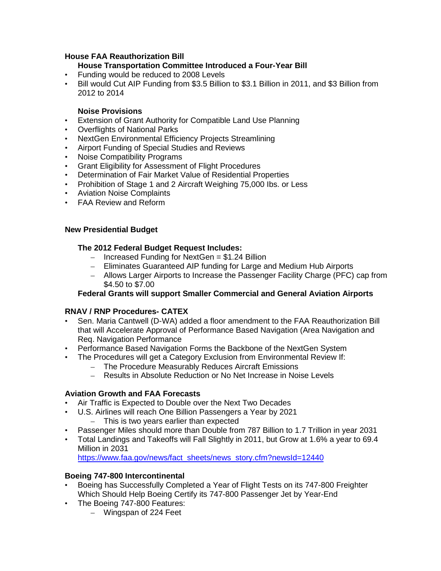## **House FAA Reauthorization Bill**

## **House Transportation Committee Introduced a Four-Year Bill**

- Funding would be reduced to 2008 Levels
- Bill would Cut AIP Funding from \$3.5 Billion to \$3.1 Billion in 2011, and \$3 Billion from 2012 to 2014

## **Noise Provisions**

- Extension of Grant Authority for Compatible Land Use Planning
- Overflights of National Parks
- NextGen Environmental Efficiency Projects Streamlining
- Airport Funding of Special Studies and Reviews
- Noise Compatibility Programs
- Grant Eligibility for Assessment of Flight Procedures
- Determination of Fair Market Value of Residential Properties
- Prohibition of Stage 1 and 2 Aircraft Weighing 75,000 lbs. or Less
- Aviation Noise Complaints
- FAA Review and Reform

#### **New Presidential Budget**

## **The 2012 Federal Budget Request Includes:**

- $-$  Increased Funding for NextGen = \$1.24 Billion
- Eliminates Guaranteed AIP funding for Large and Medium Hub Airports
- Allows Larger Airports to Increase the Passenger Facility Charge (PFC) cap from \$4.50 to \$7.00

## **Federal Grants will support Smaller Commercial and General Aviation Airports**

#### **RNAV / RNP Procedures- CATEX**

- Sen. Maria Cantwell (D-WA) added a floor amendment to the FAA Reauthorization Bill that will Accelerate Approval of Performance Based Navigation (Area Navigation and Req. Navigation Performance
- Performance Based Navigation Forms the Backbone of the NextGen System
- The Procedures will get a Category Exclusion from Environmental Review If:
	- The Procedure Measurably Reduces Aircraft Emissions
	- Results in Absolute Reduction or No Net Increase in Noise Levels

#### **Aviation Growth and FAA Forecasts**

- Air Traffic is Expected to Double over the Next Two Decades
- U.S. Airlines will reach One Billion Passengers a Year by 2021
	- This is two years earlier than expected
- Passenger Miles should more than Double from 787 Billion to 1.7 Trillion in year 2031
- Total Landings and Takeoffs will Fall Slightly in 2011, but Grow at 1.6% a year to 69.4 Million in 2031

[https://www.faa.gov/news/fact\\_sheets/news\\_story.cfm?newsId=12440](https://www.faa.gov/news/fact_sheets/news_story.cfm?newsId=12440)

## **Boeing 747-800 Intercontinental**

- Boeing has Successfully Completed a Year of Flight Tests on its 747-800 Freighter Which Should Help Boeing Certify its 747-800 Passenger Jet by Year-End
- The Boeing 747-800 Features:
	- Wingspan of 224 Feet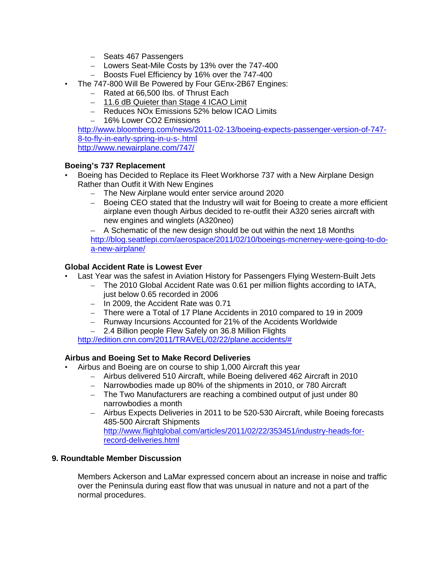- Seats 467 Passengers
- Lowers Seat-Mile Costs by 13% over the 747-400
- Boosts Fuel Efficiency by 16% over the 747-400
- The 747-800 Will Be Powered by Four GEnx-2B67 Engines:
	- Rated at 66,500 Ibs. of Thrust Each
	- 11.6 dB Quieter than Stage 4 ICAO Limit
	- Reduces NOx Emissions 52% below ICAO Limits
	- 16% Lower CO2 Emissions

[http://www.bloomberg.com/news/2011-02-13/boeing-expects-passenger-version-of-747-](http://www.bloomberg.com/news/2011-02-13/boeing-expects-passenger-version-of-747-8-to-fly-in-early-spring-in-u-s-.html) [8-to-fly-in-early-spring-in-u-s-.html](http://www.bloomberg.com/news/2011-02-13/boeing-expects-passenger-version-of-747-8-to-fly-in-early-spring-in-u-s-.html) <http://www.newairplane.com/747/>

## **Boeing's 737 Replacement**

- Boeing has Decided to Replace its Fleet Workhorse 737 with a New Airplane Design Rather than Outfit it With New Engines
	- The New Airplane would enter service around 2020
	- Boeing CEO stated that the Industry will wait for Boeing to create a more efficient airplane even though Airbus decided to re-outfit their A320 series aircraft with new engines and winglets (A320neo)

– A Schematic of the new design should be out within the next 18 Months [http://blog.seattlepi.com/aerospace/2011/02/10/boeings-mcnerney-were-going-to-do](http://blog.seattlepi.com/aerospace/2011/02/10/boeings-mcnerney-were-going-to-do-a-new-airplane/)[a-new-airplane/](http://blog.seattlepi.com/aerospace/2011/02/10/boeings-mcnerney-were-going-to-do-a-new-airplane/)

## **Global Accident Rate is Lowest Ever**

- Last Year was the safest in Aviation History for Passengers Flying Western-Built Jets
	- The 2010 Global Accident Rate was 0.61 per million flights according to IATA, just below 0.65 recorded in 2006
	- In 2009, the Accident Rate was 0.71
	- There were a Total of 17 Plane Accidents in 2010 compared to 19 in 2009
	- Runway Incursions Accounted for 21% of the Accidents Worldwide
	- 2.4 Billion people Flew Safely on 36.8 Million Flights

[http://edition.cnn.com/2011/TRAVEL/02/22/plane.accidents/#](http://edition.cnn.com/2011/TRAVEL/02/22/plane.accidents/)

## **Airbus and Boeing Set to Make Record Deliveries**

- Airbus and Boeing are on course to ship 1,000 Aircraft this year
	- Airbus delivered 510 Aircraft, while Boeing delivered 462 Aircraft in 2010
	- Narrowbodies made up 80% of the shipments in 2010, or 780 Aircraft
	- The Two Manufacturers are reaching a combined output of just under 80 narrowbodies a month
	- Airbus Expects Deliveries in 2011 to be 520-530 Aircraft, while Boeing forecasts 485-500 Aircraft Shipments [http://www.flightglobal.com/articles/2011/02/22/353451/industry-heads-for](http://www.flightglobal.com/articles/2011/02/22/353451/industry-heads-for-record-deliveries.html)[record-deliveries.html](http://www.flightglobal.com/articles/2011/02/22/353451/industry-heads-for-record-deliveries.html)

## **9. Roundtable Member Discussion**

Members Ackerson and LaMar expressed concern about an increase in noise and traffic over the Peninsula during east flow that was unusual in nature and not a part of the normal procedures.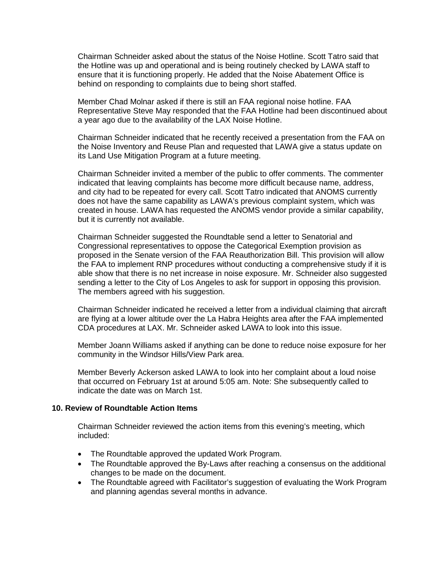Chairman Schneider asked about the status of the Noise Hotline. Scott Tatro said that the Hotline was up and operational and is being routinely checked by LAWA staff to ensure that it is functioning properly. He added that the Noise Abatement Office is behind on responding to complaints due to being short staffed.

Member Chad Molnar asked if there is still an FAA regional noise hotline. FAA Representative Steve May responded that the FAA Hotline had been discontinued about a year ago due to the availability of the LAX Noise Hotline.

Chairman Schneider indicated that he recently received a presentation from the FAA on the Noise Inventory and Reuse Plan and requested that LAWA give a status update on its Land Use Mitigation Program at a future meeting.

Chairman Schneider invited a member of the public to offer comments. The commenter indicated that leaving complaints has become more difficult because name, address, and city had to be repeated for every call. Scott Tatro indicated that ANOMS currently does not have the same capability as LAWA's previous complaint system, which was created in house. LAWA has requested the ANOMS vendor provide a similar capability, but it is currently not available.

Chairman Schneider suggested the Roundtable send a letter to Senatorial and Congressional representatives to oppose the Categorical Exemption provision as proposed in the Senate version of the FAA Reauthorization Bill. This provision will allow the FAA to implement RNP procedures without conducting a comprehensive study if it is able show that there is no net increase in noise exposure. Mr. Schneider also suggested sending a letter to the City of Los Angeles to ask for support in opposing this provision. The members agreed with his suggestion.

Chairman Schneider indicated he received a letter from a individual claiming that aircraft are flying at a lower altitude over the La Habra Heights area after the FAA implemented CDA procedures at LAX. Mr. Schneider asked LAWA to look into this issue.

Member Joann Williams asked if anything can be done to reduce noise exposure for her community in the Windsor Hills/View Park area.

Member Beverly Ackerson asked LAWA to look into her complaint about a loud noise that occurred on February 1st at around 5:05 am. Note: She subsequently called to indicate the date was on March 1st.

#### **10. Review of Roundtable Action Items**

Chairman Schneider reviewed the action items from this evening's meeting, which included:

- The Roundtable approved the updated Work Program.
- The Roundtable approved the By-Laws after reaching a consensus on the additional changes to be made on the document.
- The Roundtable agreed with Facilitator's suggestion of evaluating the Work Program and planning agendas several months in advance.